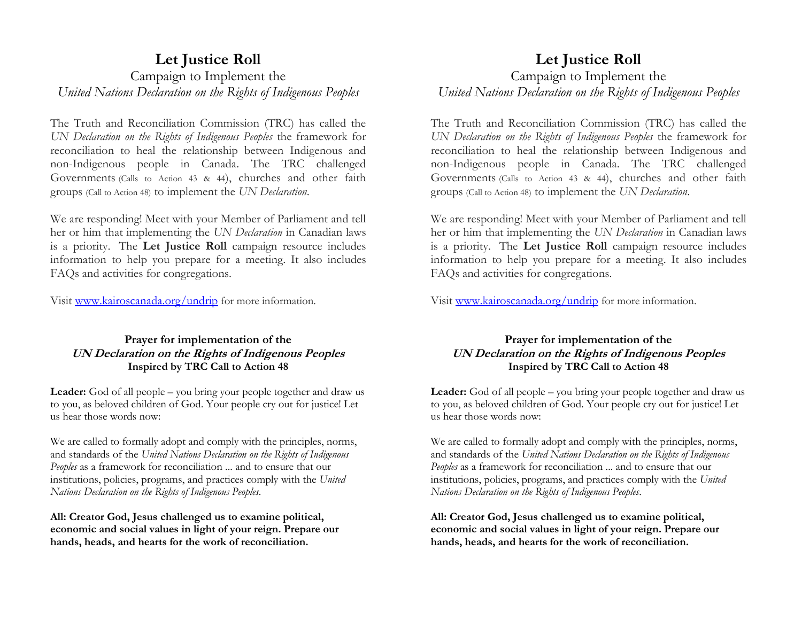## **Let Justice Roll** Campaign to Implement the *United Nations Declaration on the Rights of Indigenous Peoples*

The Truth and Reconciliation Commission (TRC) has called the *UN Declaration on the Rights of Indigenous Peoples* the framework for reconciliation to heal the relationship between Indigenous and non-Indigenous people in Canada. The TRC challenged Governments (Calls to Action 43 & 44), churches and other faith groups (Call to Action 48) to implement the *UN Declaration*.

We are responding! Meet with your Member of Parliament and tell her or him that implementing the *UN Declaration* in Canadian laws is a priority. The **Let Justice Roll** campaign resource includes information to help you prepare for a meeting. It also includes FAQs and activities for congregations.

Visit [www.kairoscanada.org/undrip](http://www.kairoscanada.org/undrip) for more information.

## **Prayer for implementation of the UN Declaration on the Rights of Indigenous Peoples Inspired by TRC Call to Action 48**

**Leader:** God of all people – you bring your people together and draw us to you, as beloved children of God. Your people cry out for justice! Let us hear those words now:

We are called to formally adopt and comply with the principles, norms, and standards of the *United Nations Declaration on the Rights of Indigenous Peoples* as a framework for reconciliation ... and to ensure that our institutions, policies, programs, and practices comply with the *United Nations Declaration on the Rights of Indigenous Peoples*.

**All: Creator God, Jesus challenged us to examine political, economic and social values in light of your reign. Prepare our hands, heads, and hearts for the work of reconciliation.** 

# **Let Justice Roll** Campaign to Implement the *United Nations Declaration on the Rights of Indigenous Peoples*

The Truth and Reconciliation Commission (TRC) has called the *UN Declaration on the Rights of Indigenous Peoples* the framework for reconciliation to heal the relationship between Indigenous and non-Indigenous people in Canada. The TRC challenged Governments (Calls to Action 43 & 44), churches and other faith groups (Call to Action 48) to implement the *UN Declaration*.

We are responding! Meet with your Member of Parliament and tell her or him that implementing the *UN Declaration* in Canadian laws is a priority. The **Let Justice Roll** campaign resource includes information to help you prepare for a meeting. It also includes FAQs and activities for congregations.

Visit [www.kairoscanada.org/undrip](http://www.kairoscanada.org/undrip) for more information.

## **Prayer for implementation of the UN Declaration on the Rights of Indigenous Peoples Inspired by TRC Call to Action 48**

**Leader:** God of all people – you bring your people together and draw us to you, as beloved children of God. Your people cry out for justice! Let us hear those words now:

We are called to formally adopt and comply with the principles, norms, and standards of the *United Nations Declaration on the Rights of Indigenous Peoples* as a framework for reconciliation ... and to ensure that our institutions, policies, programs, and practices comply with the *United Nations Declaration on the Rights of Indigenous Peoples*.

**All: Creator God, Jesus challenged us to examine political, economic and social values in light of your reign. Prepare our hands, heads, and hearts for the work of reconciliation.**